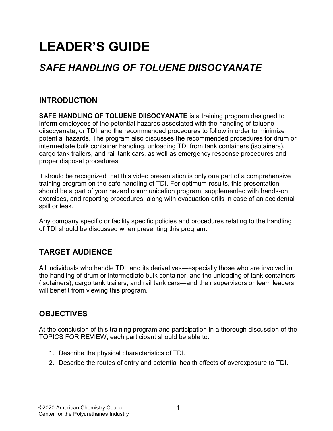# LEADER'S GUIDE

# SAFE HANDLING OF TOLUENE DIISOCYANATE

# INTRODUCTION

SAFE HANDLING OF TOLUENE DIISOCYANATE is a training program designed to inform employees of the potential hazards associated with the handling of toluene diisocyanate, or TDI, and the recommended procedures to follow in order to minimize potential hazards. The program also discusses the recommended procedures for drum or intermediate bulk container handling, unloading TDI from tank containers (isotainers), cargo tank trailers, and rail tank cars, as well as emergency response procedures and proper disposal procedures.

It should be recognized that this video presentation is only one part of a comprehensive training program on the safe handling of TDI. For optimum results, this presentation should be a part of your hazard communication program, supplemented with hands-on exercises, and reporting procedures, along with evacuation drills in case of an accidental spill or leak.

Any company specific or facility specific policies and procedures relating to the handling of TDI should be discussed when presenting this program.

# TARGET AUDIENCE

All individuals who handle TDI, and its derivatives—especially those who are involved in the handling of drum or intermediate bulk container, and the unloading of tank containers (isotainers), cargo tank trailers, and rail tank cars—and their supervisors or team leaders will benefit from viewing this program.

# **OBJECTIVES**

At the conclusion of this training program and participation in a thorough discussion of the TOPICS FOR REVIEW, each participant should be able to:

- 1. Describe the physical characteristics of TDI.
- 2. Describe the routes of entry and potential health effects of overexposure to TDI.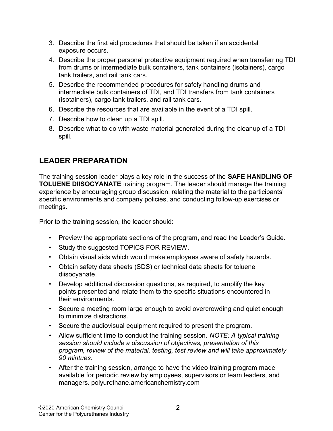- 3. Describe the first aid procedures that should be taken if an accidental exposure occurs.
- 4. Describe the proper personal protective equipment required when transferring TDI from drums or intermediate bulk containers, tank containers (isotainers), cargo tank trailers, and rail tank cars.
- 5. Describe the recommended procedures for safely handling drums and intermediate bulk containers of TDI, and TDI transfers from tank containers (isotainers), cargo tank trailers, and rail tank cars.
- 6. Describe the resources that are available in the event of a TDI spill.
- 7. Describe how to clean up a TDI spill.
- 8. Describe what to do with waste material generated during the cleanup of a TDI spill.

# LEADER PREPARATION

The training session leader plays a key role in the success of the SAFE HANDLING OF TOLUENE DIISOCYANATE training program. The leader should manage the training experience by encouraging group discussion, relating the material to the participants' specific environments and company policies, and conducting follow-up exercises or meetings.

Prior to the training session, the leader should:

- Preview the appropriate sections of the program, and read the Leader's Guide.
- Study the suggested TOPICS FOR REVIEW.
- Obtain visual aids which would make employees aware of safety hazards.
- Obtain safety data sheets (SDS) or technical data sheets for toluene diisocyanate.
- Develop additional discussion questions, as required, to amplify the key points presented and relate them to the specific situations encountered in their environments.
- Secure a meeting room large enough to avoid overcrowding and quiet enough to minimize distractions.
- Secure the audiovisual equipment required to present the program.
- Allow sufficient time to conduct the training session. NOTE: A typical training session should include a discussion of objectives, presentation of this program, review of the material, testing, test review and will take approximately 90 mintues.
- After the training session, arrange to have the video training program made available for periodic review by employees, supervisors or team leaders, and managers. polyurethane.americanchemistry.com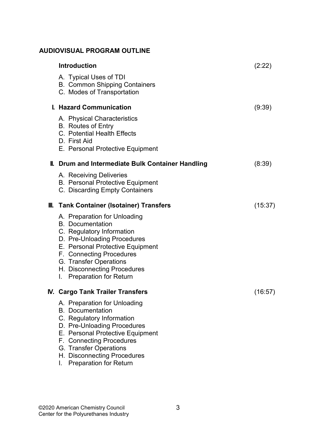# AUDIOVISUAL PROGRAM OUTLINE

| <b>Introduction</b>                                                                                                                                                                                                                                                       | (2:22)  |
|---------------------------------------------------------------------------------------------------------------------------------------------------------------------------------------------------------------------------------------------------------------------------|---------|
| A. Typical Uses of TDI<br><b>B. Common Shipping Containers</b><br>C. Modes of Transportation                                                                                                                                                                              |         |
| I. Hazard Communication                                                                                                                                                                                                                                                   | (9:39)  |
| A. Physical Characteristics<br><b>B.</b> Routes of Entry<br>C. Potential Health Effects<br>D. First Aid<br>E. Personal Protective Equipment                                                                                                                               |         |
| <b>II. Drum and Intermediate Bulk Container Handling</b>                                                                                                                                                                                                                  | (8:39)  |
| A. Receiving Deliveries<br><b>B. Personal Protective Equipment</b><br>C. Discarding Empty Containers                                                                                                                                                                      |         |
| <b>III. Tank Container (Isotainer) Transfers</b>                                                                                                                                                                                                                          | (15:37) |
| A. Preparation for Unloading<br><b>B.</b> Documentation<br>C. Regulatory Information<br>D. Pre-Unloading Procedures<br>E. Personal Protective Equipment<br>F. Connecting Procedures<br>G. Transfer Operations<br>H. Disconnecting Procedures<br>I. Preparation for Return |         |
| <b>N. Cargo Tank Trailer Transfers</b>                                                                                                                                                                                                                                    | (16:57) |
| A. Preparation for Unloading<br><b>B.</b> Documentation<br>C. Regulatory Information<br>D. Pre-Unloading Procedures<br>E. Personal Protective Equipment<br>F. Connecting Procedures<br>G. Transfer Operations<br>H. Disconnecting Procedures                              |         |

I. Preparation for Return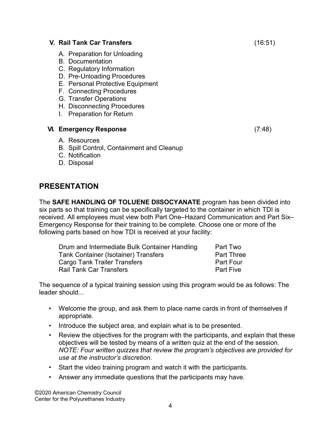#### V. Rail Tank Car Transfers (16:51)

- A. Preparation for Unloading
- B. Documentation
- C. Regulatory Information
- D. Pre-Unloading Procedures
- E. Personal Protective Equipment
- F. Connecting Procedures
- G. Transfer Operations
- H. Disconnecting Procedures
- I. Preparation for Return

#### VI. Emergency Response (7:48)

- A. Resources
- B. Spill Control, Containment and Cleanup
- C. Notification
- D. Disposal

# PRESENTATION

The SAFE HANDLING OF TOLUENE DIISOCYANATE program has been divided into six parts so that training can be specifically targeted to the container in which TDI is received. All employees must view both Part One–Hazard Communication and Part Six– Emergency Response for their training to be complete. Choose one or more of the following parts based on how TDI is received at your facility:

| Drum and Intermediate Bulk Container Handling | Part Two          |
|-----------------------------------------------|-------------------|
| <b>Tank Container (Isotainer) Transfers</b>   | <b>Part Three</b> |
| <b>Cargo Tank Trailer Transfers</b>           | Part Four         |
| <b>Rail Tank Car Transfers</b>                | <b>Part Five</b>  |

The sequence of a typical training session using this program would be as follows: The leader should...

- Welcome the group, and ask them to place name cards in front of themselves if appropriate.
- Introduce the subject area, and explain what is to be presented.
- Review the objectives for the program with the participants, and explain that these objectives will be tested by means of a written quiz at the end of the session. NOTE: Four written quizzes that review the program's objectives are provided for use at the instructor's discretion.
- Start the video training program and watch it with the participants.
- Answer any immediate questions that the participants may have.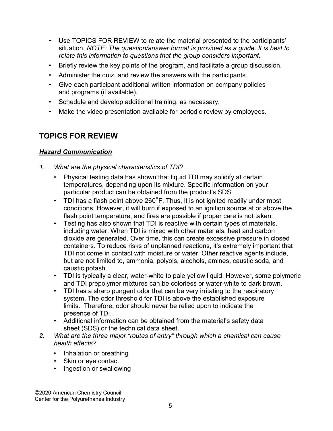- Use TOPICS FOR REVIEW to relate the material presented to the participants' situation. NOTE: The question/answer format is provided as a guide. It is best to relate this information to questions that the group considers important.
- Briefly review the key points of the program, and facilitate a group discussion.
- Administer the quiz, and review the answers with the participants.
- Give each participant additional written information on company policies and programs (if available).
- Schedule and develop additional training, as necessary.
- Make the video presentation available for periodic review by employees.

# TOPICS FOR REVIEW

# **Hazard Communication**

- 1. What are the physical characteristics of TDI?
	- Physical testing data has shown that liquid TDI may solidify at certain temperatures, depending upon its mixture. Specific information on your particular product can be obtained from the product's SDS.
	- TDI has a flash point above 260°F. Thus, it is not ignited readily under most conditions. However, it will burn if exposed to an ignition source at or above the flash point temperature, and fires are possible if proper care is not taken.
	- Testing has also shown that TDI is reactive with certain types of materials, including water. When TDI is mixed with other materials, heat and carbon dioxide are generated. Over time, this can create excessive pressure in closed containers. To reduce risks of unplanned reactions, it's extremely important that TDI not come in contact with moisture or water. Other reactive agents include, but are not limited to, ammonia, polyols, alcohols, amines, caustic soda, and caustic potash.
	- TDI is typically a clear, water-white to pale yellow liquid. However, some polymeric and TDI prepolymer mixtures can be colorless or water-white to dark brown.
	- TDI has a sharp pungent odor that can be very irritating to the respiratory system. The odor threshold for TDI is above the established exposure limits. Therefore, odor should never be relied upon to indicate the presence of TDI.
	- Additional information can be obtained from the material's safety data sheet (SDS) or the technical data sheet.
- 2. What are the three major "routes of entry" through which a chemical can cause health effects?
	- Inhalation or breathing
	- Skin or eye contact
	- Ingestion or swallowing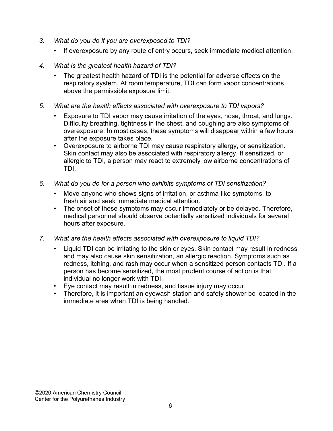- 3. What do you do if you are overexposed to TDI?
	- If overexposure by any route of entry occurs, seek immediate medical attention.
- 4. What is the greatest health hazard of TDI?
	- The greatest health hazard of TDI is the potential for adverse effects on the respiratory system. At room temperature, TDI can form vapor concentrations above the permissible exposure limit.
- 5. What are the health effects associated with overexposure to TDI vapors?
	- Exposure to TDI vapor may cause irritation of the eyes, nose, throat, and lungs. Difficulty breathing, tightness in the chest, and coughing are also symptoms of overexposure. In most cases, these symptoms will disappear within a few hours after the exposure takes place.
	- Overexposure to airborne TDI may cause respiratory allergy, or sensitization. Skin contact may also be associated with respiratory allergy. If sensitized, or allergic to TDI, a person may react to extremely low airborne concentrations of TDI.
- 6. What do you do for a person who exhibits symptoms of TDI sensitization?
	- Move anyone who shows signs of irritation, or asthma-like symptoms, to fresh air and seek immediate medical attention.
	- The onset of these symptoms may occur immediately or be delayed. Therefore, medical personnel should observe potentially sensitized individuals for several hours after exposure.
- 7. What are the health effects associated with overexposure to liquid TDI?
	- Liquid TDI can be irritating to the skin or eyes. Skin contact may result in redness and may also cause skin sensitization, an allergic reaction. Symptoms such as redness, itching, and rash may occur when a sensitized person contacts TDI. If a person has become sensitized, the most prudent course of action is that individual no longer work with TDI.
	- Eye contact may result in redness, and tissue injury may occur.
	- Therefore, it is important an eyewash station and safety shower be located in the immediate area when TDI is being handled.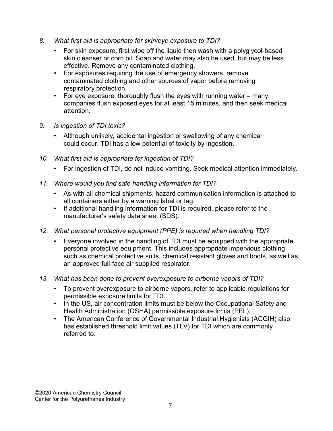- 8. What first aid is appropriate for skin/eye exposure to TDI?
	- For skin exposure, first wipe off the liquid then wash with a polyglycol-based skin cleanser or corn oil. Soap and water may also be used, but may be less effective. Remove any contaminated clothing.
	- For exposures requiring the use of emergency showers, remove contaminated clothing and other sources of vapor before removing respiratory protection.
	- For eye exposure, thoroughly flush the eyes with running water many companies flush exposed eyes for at least 15 minutes, and then seek medical attention.
- 9. Is ingestion of TDI toxic?
	- Although unlikely, accidental ingestion or swallowing of any chemical could occur. TDI has a low potential of toxicity by ingestion.
- 10. What first aid is appropriate for ingestion of TDI?
	- For ingestion of TDI, do not induce vomiting. Seek medical attention immediately.
- 11. Where would you find safe handling information for TDI?
	- As with all chemical shipments, hazard communication information is attached to all containers either by a warning label or tag.
	- If additional handling information for TDI is required, please refer to the manufacturer's safety data sheet (SDS).
- 12. What personal protective equipment (PPE) is required when handling TDI?
	- Everyone involved in the handling of TDI must be equipped with the appropriate personal protective equipment. This includes appropriate impervious clothing such as chemical protective suits, chemical resistant gloves and boots, as well as an approved full-face air supplied respirator.
- 13. What has been done to prevent overexposure to airborne vapors of TDI?
	- To prevent overexposure to airborne vapors, refer to applicable regulations for permissible exposure limits for TDI.
	- In the US, air concentration limits must be below the Occupational Safety and Health Administration (OSHA) permissible exposure limits (PEL).
	- The American Conference of Governmental Industrial Hygienists (ACGIH) also has established threshold limit values (TLV) for TDI which are commonly referred to.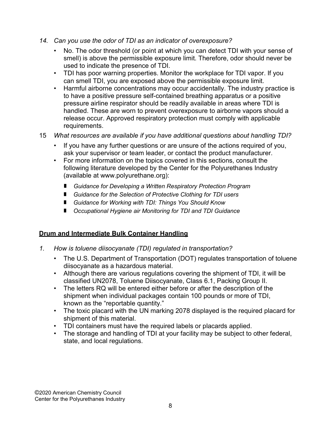- 14. Can you use the odor of TDI as an indicator of overexposure?
	- No. The odor threshold (or point at which you can detect TDI with your sense of smell) is above the permissible exposure limit. Therefore, odor should never be used to indicate the presence of TDI.
	- TDI has poor warning properties. Monitor the workplace for TDI vapor. If you can smell TDI, you are exposed above the permissible exposure limit.
	- Harmful airborne concentrations may occur accidentally. The industry practice is to have a positive pressure self-contained breathing apparatus or a positive pressure airline respirator should be readily available in areas where TDI is handled. These are worn to prevent overexposure to airborne vapors should a release occur. Approved respiratory protection must comply with applicable requirements.
- 15 What resources are available if you have additional questions about handling TDI?
	- If you have any further questions or are unsure of the actions required of you, ask your supervisor or team leader, or contact the product manufacturer.
	- For more information on the topics covered in this sections, consult the following literature developed by the Center for the Polyurethanes Industry (available at www.polyurethane.org):
		- **E** Guidance for Developing a Written Respiratory Protection Program
		- Guidance for the Selection of Protective Clothing for TDI users
		- Guidance for Working with TDI: Things You Should Know
		- Occupational Hygiene air Monitoring for TDI and TDI Guidance

### Drum and Intermediate Bulk Container Handling

- 1. How is toluene diisocyanate (TDI) regulated in transportation?
	- The U.S. Department of Transportation (DOT) regulates transportation of toluene diisocyanate as a hazardous material.
	- Although there are various regulations covering the shipment of TDI, it will be classified UN2078, Toluene Diisocyanate, Class 6.1, Packing Group II.
	- The letters RQ will be entered either before or after the description of the shipment when individual packages contain 100 pounds or more of TDI, known as the "reportable quantity."
	- The toxic placard with the UN marking 2078 displayed is the required placard for shipment of this material.
	- TDI containers must have the required labels or placards applied.
	- The storage and handling of TDI at your facility may be subject to other federal, state, and local regulations.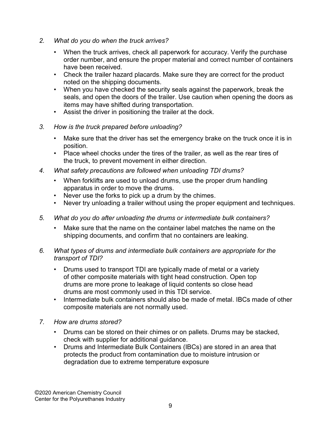- 2. What do you do when the truck arrives?
	- When the truck arrives, check all paperwork for accuracy. Verify the purchase order number, and ensure the proper material and correct number of containers have been received.
	- Check the trailer hazard placards. Make sure they are correct for the product noted on the shipping documents.
	- When you have checked the security seals against the paperwork, break the seals, and open the doors of the trailer. Use caution when opening the doors as items may have shifted during transportation.
	- Assist the driver in positioning the trailer at the dock.
- 3. How is the truck prepared before unloading?
	- Make sure that the driver has set the emergency brake on the truck once it is in position.
	- Place wheel chocks under the tires of the trailer, as well as the rear tires of the truck, to prevent movement in either direction.
- 4. What safety precautions are followed when unloading TDI drums?
	- When forklifts are used to unload drums, use the proper drum handling apparatus in order to move the drums.
	- Never use the forks to pick up a drum by the chimes.
	- Never try unloading a trailer without using the proper equipment and techniques.
- 5. What do you do after unloading the drums or intermediate bulk containers?
	- Make sure that the name on the container label matches the name on the shipping documents, and confirm that no containers are leaking.
- 6. What types of drums and intermediate bulk containers are appropriate for the transport of TDI?
	- Drums used to transport TDI are typically made of metal or a variety of other composite materials with tight head construction. Open top drums are more prone to leakage of liquid contents so close head drums are most commonly used in this TDI service.
	- Intermediate bulk containers should also be made of metal. IBCs made of other composite materials are not normally used.
- 7. How are drums stored?
	- Drums can be stored on their chimes or on pallets. Drums may be stacked, check with supplier for additional guidance.
	- Drums and Intermediate Bulk Containers (IBCs) are stored in an area that protects the product from contamination due to moisture intrusion or degradation due to extreme temperature exposure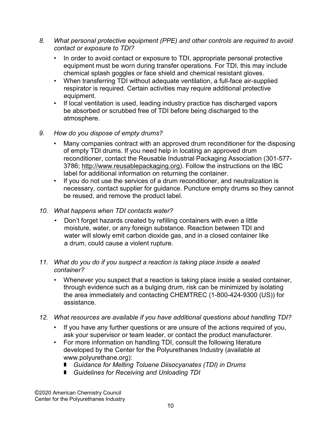- 8. What personal protective equipment (PPE) and other controls are required to avoid contact or exposure to TDI?
	- In order to avoid contact or exposure to TDI, appropriate personal protective equipment must be worn during transfer operations. For TDI, this may include chemical splash goggles or face shield and chemical resistant gloves.
	- When transferring TDI without adequate ventilation, a full-face air-supplied respirator is required. Certain activities may require additional protective equipment.
	- If local ventilation is used, leading industry practice has discharged vapors be absorbed or scrubbed free of TDI before being discharged to the atmosphere.
- 9. How do you dispose of empty drums?
	- Many companies contract with an approved drum reconditioner for the disposing of empty TDI drums. If you need help in locating an approved drum reconditioner, contact the Reusable Industrial Packaging Association (301-577- 3786; http://www.reusablepackaging.org). Follow the instructions on the IBC label for additional information on returning the container.
	- If you do not use the services of a drum reconditioner, and neutralization is necessary, contact supplier for guidance. Puncture empty drums so they cannot be reused, and remove the product label.
- 10. What happens when TDI contacts water?
	- Don't forget hazards created by refilling containers with even a little moisture, water, or any foreign substance. Reaction between TDI and water will slowly emit carbon dioxide gas, and in a closed container like a drum, could cause a violent rupture.

#### 11. What do you do if you suspect a reaction is taking place inside a sealed container?

- Whenever you suspect that a reaction is taking place inside a sealed container, through evidence such as a bulging drum, risk can be minimized by isolating the area immediately and contacting CHEMTREC (1-800-424-9300 (US)) for assistance.
- 12. What resources are available if you have additional questions about handling TDI?
	- If you have any further questions or are unsure of the actions required of you, ask your supervisor or team leader, or contact the product manufacturer.
	- For more information on handling TDI, consult the following literature developed by the Center for the Polyurethanes Industry (available at www.polyurethane.org):
		- Guidance for Melting Toluene Diisocyanates (TDI) in Drums
		- Guidelines for Receiving and Unloading TDI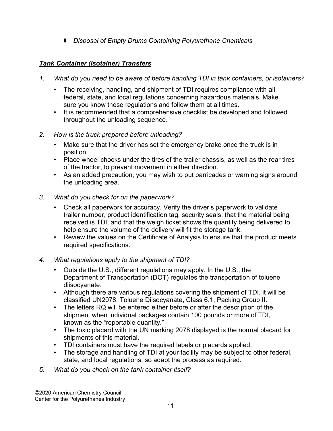Disposal of Empty Drums Containing Polyurethane Chemicals

# Tank Container (Isotainer) Transfers

- 1. What do you need to be aware of before handling TDI in tank containers, or isotainers?
	- The receiving, handling, and shipment of TDI requires compliance with all federal, state, and local regulations concerning hazardous materials. Make sure you know these regulations and follow them at all times.
	- It is recommended that a comprehensive checklist be developed and followed throughout the unloading sequence.
- 2. How is the truck prepared before unloading?
	- Make sure that the driver has set the emergency brake once the truck is in position.
	- Place wheel chocks under the tires of the trailer chassis, as well as the rear tires of the tractor, to prevent movement in either direction.
	- As an added precaution, you may wish to put barricades or warning signs around the unloading area.
- 3. What do you check for on the paperwork?
	- Check all paperwork for accuracy. Verify the driver's paperwork to validate trailer number, product identification tag, security seals, that the material being received is TDI, and that the weigh ticket shows the quantity being delivered to help ensure the volume of the delivery will fit the storage tank.
	- Review the values on the Certificate of Analysis to ensure that the product meets required specifications.
- 4. What regulations apply to the shipment of TDI?
	- Outside the U.S., different regulations may apply. In the U.S., the Department of Transportation (DOT) regulates the transportation of toluene diisocyanate.
	- Although there are various regulations covering the shipment of TDI, it will be classified UN2078, Toluene Diisocyanate, Class 6.1, Packing Group II.
	- The letters RQ will be entered either before or after the description of the shipment when individual packages contain 100 pounds or more of TDI, known as the "reportable quantity."
	- The toxic placard with the UN marking 2078 displayed is the normal placard for shipments of this material.
	- TDI containers must have the required labels or placards applied.
	- The storage and handling of TDI at your facility may be subject to other federal, state, and local regulations, so adapt the process as required.
- 5. What do you check on the tank container itself?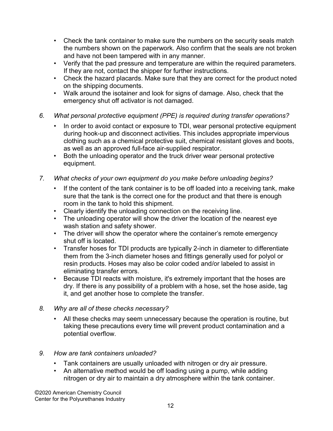- Check the tank container to make sure the numbers on the security seals match the numbers shown on the paperwork. Also confirm that the seals are not broken and have not been tampered with in any manner.
- Verify that the pad pressure and temperature are within the required parameters. If they are not, contact the shipper for further instructions.
- Check the hazard placards. Make sure that they are correct for the product noted on the shipping documents.
- Walk around the isotainer and look for signs of damage. Also, check that the emergency shut off activator is not damaged.
- 6. What personal protective equipment (PPE) is required during transfer operations?
	- In order to avoid contact or exposure to TDI, wear personal protective equipment during hook-up and disconnect activities. This includes appropriate impervious clothing such as a chemical protective suit, chemical resistant gloves and boots, as well as an approved full-face air-supplied respirator.
	- Both the unloading operator and the truck driver wear personal protective equipment.
- 7. What checks of your own equipment do you make before unloading begins?
	- If the content of the tank container is to be off loaded into a receiving tank, make sure that the tank is the correct one for the product and that there is enough room in the tank to hold this shipment.
	- Clearly identify the unloading connection on the receiving line.
	- The unloading operator will show the driver the location of the nearest eye wash station and safety shower.
	- The driver will show the operator where the container's remote emergency shut off is located.
	- Transfer hoses for TDI products are typically 2-inch in diameter to differentiate them from the 3-inch diameter hoses and fittings generally used for polyol or resin products. Hoses may also be color coded and/or labeled to assist in eliminating transfer errors.
	- Because TDI reacts with moisture, it's extremely important that the hoses are dry. If there is any possibility of a problem with a hose, set the hose aside, tag it, and get another hose to complete the transfer.
- 8. Why are all of these checks necessary?
	- All these checks may seem unnecessary because the operation is routine, but taking these precautions every time will prevent product contamination and a potential overflow.
- 9. How are tank containers unloaded?
	- Tank containers are usually unloaded with nitrogen or dry air pressure.
	- An alternative method would be off loading using a pump, while adding nitrogen or dry air to maintain a dry atmosphere within the tank container.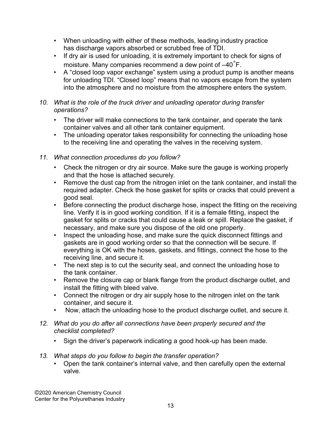- When unloading with either of these methods, leading industry practice has discharge vapors absorbed or scrubbed free of TDI.
- If dry air is used for unloading, it is extremely important to check for signs of moisture. Many companies recommend a dew point of  $-40^{\circ}$ F.
- A "closed loop vapor exchange" system using a product pump is another means for unloading TDI. "Closed loop" means that no vapors escape from the system into the atmosphere and no moisture from the atmosphere enters the system.

#### 10. What is the role of the truck driver and unloading operator during transfer operations?

- The driver will make connections to the tank container, and operate the tank container valves and all other tank container equipment.
- The unloading operator takes responsibility for connecting the unloading hose to the receiving line and operating the valves in the receiving system.

## 11. What connection procedures do you follow?

- Check the nitrogen or dry air source. Make sure the gauge is working properly and that the hose is attached securely.
- Remove the dust cap from the nitrogen inlet on the tank container, and install the required adapter. Check the hose gasket for splits or cracks that could prevent a good seal.
- Before connecting the product discharge hose, inspect the fitting on the receiving line. Verify it is in good working condition. If it is a female fitting, inspect the gasket for splits or cracks that could cause a leak or spill. Replace the gasket, if necessary, and make sure you dispose of the old one properly.
- Inspect the unloading hose, and make sure the quick disconnect fittings and gaskets are in good working order so that the connection will be secure. If everything is OK with the hoses, gaskets, and fittings, connect the hose to the receiving line, and secure it.
- The next step is to cut the security seal, and connect the unloading hose to the tank container.
- Remove the closure cap or blank flange from the product discharge outlet, and install the fitting with bleed valve.
- Connect the nitrogen or dry air supply hose to the nitrogen inlet on the tank container, and secure it.
- Now, attach the unloading hose to the product discharge outlet, and secure it.
- 12. What do you do after all connections have been properly secured and the checklist completed?
	- Sign the driver's paperwork indicating a good hook-up has been made.
- 13. What steps do you follow to begin the transfer operation?
	- Open the tank container's internal valve, and then carefully open the external valve.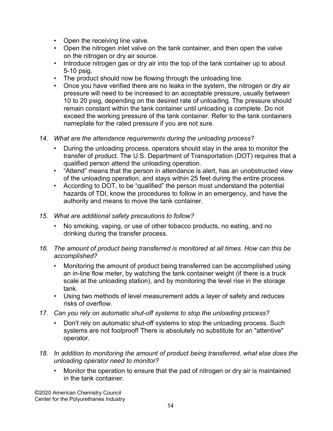- Open the receiving line valve.
- Open the nitrogen inlet valve on the tank container, and then open the valve on the nitrogen or dry air source.
- Introduce nitrogen gas or dry air into the top of the tank container up to about 5-10 psig.
- The product should now be flowing through the unloading line.
- Once you have verified there are no leaks in the system, the nitrogen or dry air pressure will need to be increased to an acceptable pressure, usually between 10 to 20 psig, depending on the desired rate of unloading. The pressure should remain constant within the tank container until unloading is complete. Do not exceed the working pressure of the tank container. Refer to the tank containers nameplate for the rated pressure if you are not sure.
- 14. What are the attendance requirements during the unloading process?
	- During the unloading process, operators should stay in the area to monitor the transfer of product. The U.S. Department of Transportation (DOT) requires that a qualified person attend the unloading operation.
	- "Attend" means that the person in attendance is alert, has an unobstructed view of the unloading operation, and stays within 25 feet during the entire process.
	- According to DOT, to be "qualified" the person must understand the potential hazards of TDI, know the procedures to follow in an emergency, and have the authority and means to move the tank container.
- 15. What are additional safety precautions to follow?
	- No smoking, vaping, or use of other tobacco products, no eating, and no drinking during the transfer process.
- 16. The amount of product being transferred is monitored at all times. How can this be accomplished?
	- Monitoring the amount of product being transferred can be accomplished using an in-line flow meter, by watching the tank container weight (if there is a truck scale at the unloading station), and by monitoring the level rise in the storage tank.
	- Using two methods of level measurement adds a layer of safety and reduces risks of overflow.
- 17. Can you rely on automatic shut-off systems to stop the unloading process?
	- Don't rely on automatic shut-off systems to stop the unloading process. Such systems are not foolproof! There is absolutely no substitute for an "attentive" operator.
- 18. In addition to monitoring the amount of product being transferred, what else does the unloading operator need to monitor?
	- Monitor the operation to ensure that the pad of nitrogen or dry air is maintained in the tank container.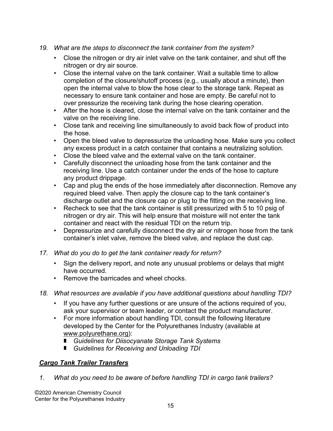- 19. What are the steps to disconnect the tank container from the system?
	- Close the nitrogen or dry air inlet valve on the tank container, and shut off the nitrogen or dry air source.
	- Close the internal valve on the tank container. Wait a suitable time to allow completion of the closure/shutoff process (e.g., usually about a minute), then open the internal valve to blow the hose clear to the storage tank. Repeat as necessary to ensure tank container and hose are empty. Be careful not to over pressurize the receiving tank during the hose clearing operation.
	- After the hose is cleared, close the internal valve on the tank container and the valve on the receiving line.
	- Close tank and receiving line simultaneously to avoid back flow of product into the hose.
	- Open the bleed valve to depressurize the unloading hose. Make sure you collect any excess product in a catch container that contains a neutralizing solution.
	- Close the bleed valve and the external valve on the tank container.
	- Carefully disconnect the unloading hose from the tank container and the receiving line. Use a catch container under the ends of the hose to capture any product drippage.
	- Cap and plug the ends of the hose immediately after disconnection. Remove any required bleed valve. Then apply the closure cap to the tank container's discharge outlet and the closure cap or plug to the fitting on the receiving line.
	- Recheck to see that the tank container is still pressurized with 5 to 10 psig of nitrogen or dry air. This will help ensure that moisture will not enter the tank container and react with the residual TDI on the return trip.
	- Depressurize and carefully disconnect the dry air or nitrogen hose from the tank container's inlet valve, remove the bleed valve, and replace the dust cap.
- 17. What do you do to get the tank container ready for return?
	- Sign the delivery report, and note any unusual problems or delays that might have occurred.
	- Remove the barricades and wheel chocks.
- 18. What resources are available if you have additional questions about handling TDI?
	- If you have any further questions or are unsure of the actions required of you, ask your supervisor or team leader, or contact the product manufacturer.
	- For more information about handling TDI, consult the following literature developed by the Center for the Polyurethanes Industry (available at www.polyurethane.org):
		- **E** Guidelines for Diisocyanate Storage Tank Systems
		- Guidelines for Receiving and Unloading TDI

### **Cargo Tank Trailer Transfers**

1. What do you need to be aware of before handling TDI in cargo tank trailers?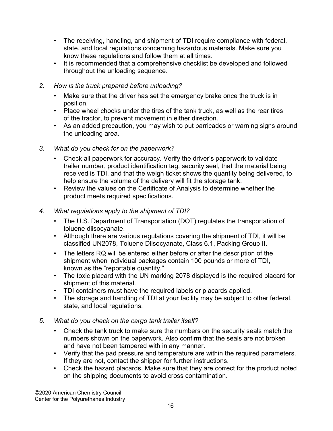- The receiving, handling, and shipment of TDI require compliance with federal, state, and local regulations concerning hazardous materials. Make sure you know these regulations and follow them at all times.
- It is recommended that a comprehensive checklist be developed and followed throughout the unloading sequence.
- 2. How is the truck prepared before unloading?
	- Make sure that the driver has set the emergency brake once the truck is in position.
	- Place wheel chocks under the tires of the tank truck, as well as the rear tires of the tractor, to prevent movement in either direction.
	- As an added precaution, you may wish to put barricades or warning signs around the unloading area.
- 3. What do you check for on the paperwork?
	- Check all paperwork for accuracy. Verify the driver's paperwork to validate trailer number, product identification tag, security seal, that the material being received is TDI, and that the weigh ticket shows the quantity being delivered, to help ensure the volume of the delivery will fit the storage tank.
	- Review the values on the Certificate of Analysis to determine whether the product meets required specifications.
- 4. What regulations apply to the shipment of TDI?
	- The U.S. Department of Transportation (DOT) regulates the transportation of toluene diisocyanate.
	- Although there are various regulations covering the shipment of TDI, it will be classified UN2078, Toluene Diisocyanate, Class 6.1, Packing Group II.
	- The letters RQ will be entered either before or after the description of the shipment when individual packages contain 100 pounds or more of TDI, known as the "reportable quantity."
	- The toxic placard with the UN marking 2078 displayed is the required placard for shipment of this material.
	- TDI containers must have the required labels or placards applied.
	- The storage and handling of TDI at your facility may be subject to other federal, state, and local regulations.
- 5. What do you check on the cargo tank trailer itself?
	- Check the tank truck to make sure the numbers on the security seals match the numbers shown on the paperwork. Also confirm that the seals are not broken and have not been tampered with in any manner.
	- Verify that the pad pressure and temperature are within the required parameters. If they are not, contact the shipper for further instructions.
	- Check the hazard placards. Make sure that they are correct for the product noted on the shipping documents to avoid cross contamination.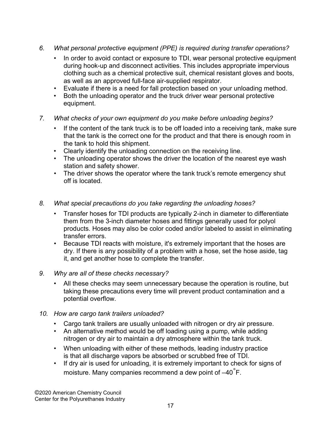- 6. What personal protective equipment (PPE) is required during transfer operations?
	- In order to avoid contact or exposure to TDI, wear personal protective equipment during hook-up and disconnect activities. This includes appropriate impervious clothing such as a chemical protective suit, chemical resistant gloves and boots, as well as an approved full-face air-supplied respirator.
	- Evaluate if there is a need for fall protection based on your unloading method.
	- Both the unloading operator and the truck driver wear personal protective equipment.
- 7. What checks of your own equipment do you make before unloading begins?
	- If the content of the tank truck is to be off loaded into a receiving tank, make sure that the tank is the correct one for the product and that there is enough room in the tank to hold this shipment.
	- Clearly identify the unloading connection on the receiving line.
	- The unloading operator shows the driver the location of the nearest eye wash station and safety shower.
	- The driver shows the operator where the tank truck's remote emergency shut off is located.
- 8. What special precautions do you take regarding the unloading hoses?
	- Transfer hoses for TDI products are typically 2-inch in diameter to differentiate them from the 3-inch diameter hoses and fittings generally used for polyol products. Hoses may also be color coded and/or labeled to assist in eliminating transfer errors.
	- Because TDI reacts with moisture, it's extremely important that the hoses are dry. If there is any possibility of a problem with a hose, set the hose aside, tag it, and get another hose to complete the transfer.
- 9. Why are all of these checks necessary?
	- All these checks may seem unnecessary because the operation is routine, but taking these precautions every time will prevent product contamination and a potential overflow.
- 10. How are cargo tank trailers unloaded?
	- Cargo tank trailers are usually unloaded with nitrogen or dry air pressure.
	- An alternative method would be off loading using a pump, while adding nitrogen or dry air to maintain a dry atmosphere within the tank truck.
	- When unloading with either of these methods, leading industry practice is that all discharge vapors be absorbed or scrubbed free of TDI.
	- If dry air is used for unloading, it is extremely important to check for signs of moisture. Many companies recommend a dew point of  $-40^{\circ}$ F.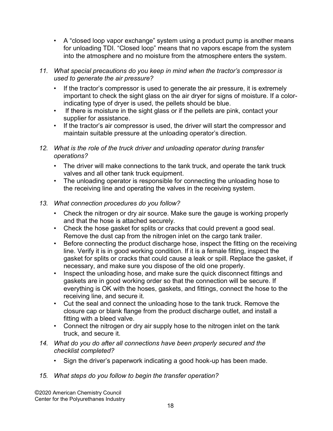• A "closed loop vapor exchange" system using a product pump is another means for unloading TDI. "Closed loop" means that no vapors escape from the system into the atmosphere and no moisture from the atmosphere enters the system.

#### 11. What special precautions do you keep in mind when the tractor's compressor is used to generate the air pressure?

- If the tractor's compressor is used to generate the air pressure, it is extremely important to check the sight glass on the air dryer for signs of moisture. If a colorindicating type of dryer is used, the pellets should be blue.
- If there is moisture in the sight glass or if the pellets are pink, contact your supplier for assistance.
- If the tractor's air compressor is used, the driver will start the compressor and maintain suitable pressure at the unloading operator's direction.
- 12. What is the role of the truck driver and unloading operator during transfer operations?
	- The driver will make connections to the tank truck, and operate the tank truck valves and all other tank truck equipment.
	- The unloading operator is responsible for connecting the unloading hose to the receiving line and operating the valves in the receiving system.
- 13. What connection procedures do you follow?
	- Check the nitrogen or dry air source. Make sure the gauge is working properly and that the hose is attached securely.
	- Check the hose gasket for splits or cracks that could prevent a good seal. Remove the dust cap from the nitrogen inlet on the cargo tank trailer.
	- Before connecting the product discharge hose, inspect the fitting on the receiving line. Verify it is in good working condition. If it is a female fitting, inspect the gasket for splits or cracks that could cause a leak or spill. Replace the gasket, if necessary, and make sure you dispose of the old one properly.
	- Inspect the unloading hose, and make sure the quick disconnect fittings and gaskets are in good working order so that the connection will be secure. If everything is OK with the hoses, gaskets, and fittings, connect the hose to the receiving line, and secure it.
	- Cut the seal and connect the unloading hose to the tank truck. Remove the closure cap or blank flange from the product discharge outlet, and install a fitting with a bleed valve.
	- Connect the nitrogen or dry air supply hose to the nitrogen inlet on the tank truck, and secure it.
- 14. What do you do after all connections have been properly secured and the checklist completed?
	- Sign the driver's paperwork indicating a good hook-up has been made.
- 15. What steps do you follow to begin the transfer operation?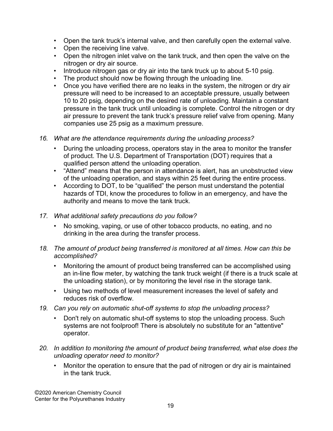- Open the tank truck's internal valve, and then carefully open the external valve.
- Open the receiving line valve.
- Open the nitrogen inlet valve on the tank truck, and then open the valve on the nitrogen or dry air source.
- Introduce nitrogen gas or dry air into the tank truck up to about 5-10 psig.
- The product should now be flowing through the unloading line.
- Once you have verified there are no leaks in the system, the nitrogen or dry air pressure will need to be increased to an acceptable pressure, usually between 10 to 20 psig, depending on the desired rate of unloading. Maintain a constant pressure in the tank truck until unloading is complete. Control the nitrogen or dry air pressure to prevent the tank truck's pressure relief valve from opening. Many companies use 25 psig as a maximum pressure.
- 16. What are the attendance requirements during the unloading process?
	- During the unloading process, operators stay in the area to monitor the transfer of product. The U.S. Department of Transportation (DOT) requires that a qualified person attend the unloading operation.
	- "Attend" means that the person in attendance is alert, has an unobstructed view of the unloading operation, and stays within 25 feet during the entire process.
	- According to DOT, to be "qualified" the person must understand the potential hazards of TDI, know the procedures to follow in an emergency, and have the authority and means to move the tank truck.
- 17. What additional safety precautions do you follow?
	- No smoking, vaping, or use of other tobacco products, no eating, and no drinking in the area during the transfer process.
- 18. The amount of product being transferred is monitored at all times. How can this be accomplished?
	- Monitoring the amount of product being transferred can be accomplished using an in-line flow meter, by watching the tank truck weight (if there is a truck scale at the unloading station), or by monitoring the level rise in the storage tank.
	- Using two methods of level measurement increases the level of safety and reduces risk of overflow.
- 19. Can you rely on automatic shut-off systems to stop the unloading process?
	- Don't rely on automatic shut-off systems to stop the unloading process. Such systems are not foolproof! There is absolutely no substitute for an "attentive" operator.
- 20. In addition to monitoring the amount of product being transferred, what else does the unloading operator need to monitor?
	- Monitor the operation to ensure that the pad of nitrogen or dry air is maintained in the tank truck.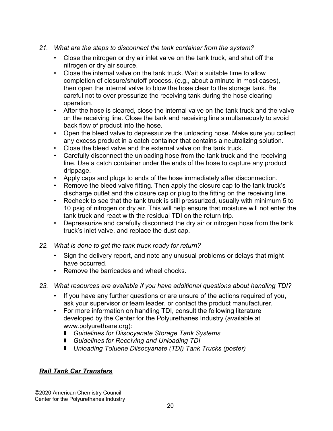- 21. What are the steps to disconnect the tank container from the system?
	- Close the nitrogen or dry air inlet valve on the tank truck, and shut off the nitrogen or dry air source.
	- Close the internal valve on the tank truck. Wait a suitable time to allow completion of closure/shutoff process, (e.g., about a minute in most cases), then open the internal valve to blow the hose clear to the storage tank. Be careful not to over pressurize the receiving tank during the hose clearing operation.
	- After the hose is cleared, close the internal valve on the tank truck and the valve on the receiving line. Close the tank and receiving line simultaneously to avoid back flow of product into the hose.
	- Open the bleed valve to depressurize the unloading hose. Make sure you collect any excess product in a catch container that contains a neutralizing solution.
	- Close the bleed valve and the external valve on the tank truck.
	- Carefully disconnect the unloading hose from the tank truck and the receiving line. Use a catch container under the ends of the hose to capture any product drippage.
	- Apply caps and plugs to ends of the hose immediately after disconnection.
	- Remove the bleed valve fitting. Then apply the closure cap to the tank truck's discharge outlet and the closure cap or plug to the fitting on the receiving line.
	- Recheck to see that the tank truck is still pressurized, usually with minimum 5 to 10 psig of nitrogen or dry air. This will help ensure that moisture will not enter the tank truck and react with the residual TDI on the return trip.
	- Depressurize and carefully disconnect the dry air or nitrogen hose from the tank truck's inlet valve, and replace the dust cap.
- 22. What is done to get the tank truck ready for return?
	- Sign the delivery report, and note any unusual problems or delays that might have occurred.
	- Remove the barricades and wheel chocks.
- 23. What resources are available if you have additional questions about handling TDI?
	- If you have any further questions or are unsure of the actions required of you, ask your supervisor or team leader, or contact the product manufacturer.
	- For more information on handling TDI, consult the following literature developed by the Center for the Polyurethanes Industry (available at www.polyurethane.org):
		- Guidelines for Diisocyanate Storage Tank Systems
		- Guidelines for Receiving and Unloading TDI
		- Unloading Toluene Diisocyanate (TDI) Tank Trucks (poster)

### **Rail Tank Car Transfers**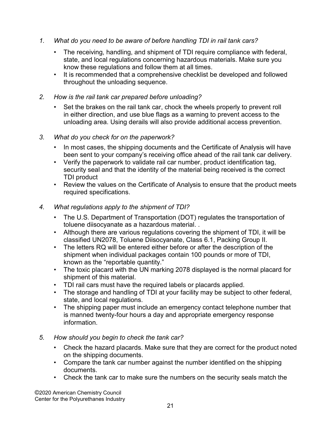- 1. What do you need to be aware of before handling TDI in rail tank cars?
	- The receiving, handling, and shipment of TDI require compliance with federal, state, and local regulations concerning hazardous materials. Make sure you know these regulations and follow them at all times.
	- It is recommended that a comprehensive checklist be developed and followed throughout the unloading sequence.
- 2. How is the rail tank car prepared before unloading?
	- Set the brakes on the rail tank car, chock the wheels properly to prevent roll in either direction, and use blue flags as a warning to prevent access to the unloading area. Using derails will also provide additional access prevention.
- 3. What do you check for on the paperwork?
	- In most cases, the shipping documents and the Certificate of Analysis will have been sent to your company's receiving office ahead of the rail tank car delivery.
	- Verify the paperwork to validate rail car number, product identification tag, security seal and that the identity of the material being received is the correct TDI product
	- Review the values on the Certificate of Analysis to ensure that the product meets required specifications.

#### 4. What regulations apply to the shipment of TDI?

- The U.S. Department of Transportation (DOT) regulates the transportation of toluene diisocyanate as a hazardous material. .
- Although there are various regulations covering the shipment of TDI, it will be classified UN2078, Toluene Diisocyanate, Class 6.1, Packing Group II.
- The letters RQ will be entered either before or after the description of the shipment when individual packages contain 100 pounds or more of TDI, known as the "reportable quantity."
- The toxic placard with the UN marking 2078 displayed is the normal placard for shipment of this material.
- TDI rail cars must have the required labels or placards applied.
- The storage and handling of TDI at your facility may be subject to other federal, state, and local regulations.
- The shipping paper must include an emergency contact telephone number that is manned twenty-four hours a day and appropriate emergency response information.
- 5. How should you begin to check the tank car?
	- Check the hazard placards. Make sure that they are correct for the product noted on the shipping documents.
	- Compare the tank car number against the number identified on the shipping documents.
	- Check the tank car to make sure the numbers on the security seals match the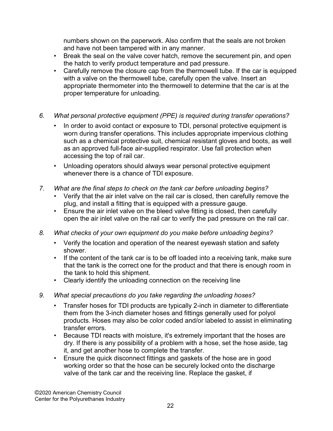numbers shown on the paperwork. Also confirm that the seals are not broken and have not been tampered with in any manner.

- Break the seal on the valve cover hatch, remove the securement pin, and open the hatch to verify product temperature and pad pressure.
- Carefully remove the closure cap from the thermowell tube. If the car is equipped with a valve on the thermowell tube, carefully open the valve. Insert an appropriate thermometer into the thermowell to determine that the car is at the proper temperature for unloading.
- 6. What personal protective equipment (PPE) is required during transfer operations?
	- In order to avoid contact or exposure to TDI, personal protective equipment is worn during transfer operations. This includes appropriate impervious clothing such as a chemical protective suit, chemical resistant gloves and boots, as well as an approved full-face air-supplied respirator. Use fall protection when accessing the top of rail car.
	- Unloading operators should always wear personal protective equipment whenever there is a chance of TDI exposure.
- 7. What are the final steps to check on the tank car before unloading begins?
	- Verify that the air inlet valve on the rail car is closed, then carefully remove the plug, and install a fitting that is equipped with a pressure gauge.
	- Ensure the air inlet valve on the bleed valve fitting is closed, then carefully open the air inlet valve on the rail car to verify the pad pressure on the rail car.
- 8. What checks of your own equipment do you make before unloading begins?
	- Verify the location and operation of the nearest eyewash station and safety shower.
	- If the content of the tank car is to be off loaded into a receiving tank, make sure that the tank is the correct one for the product and that there is enough room in the tank to hold this shipment.
	- Clearly identify the unloading connection on the receiving line
- 9. What special precautions do you take regarding the unloading hoses?
	- Transfer hoses for TDI products are typically 2-inch in diameter to differentiate them from the 3-inch diameter hoses and fittings generally used for polyol products. Hoses may also be color coded and/or labeled to assist in eliminating transfer errors.
	- Because TDI reacts with moisture, it's extremely important that the hoses are dry. If there is any possibility of a problem with a hose, set the hose aside, tag it, and get another hose to complete the transfer.
	- Ensure the quick disconnect fittings and gaskets of the hose are in good working order so that the hose can be securely locked onto the discharge valve of the tank car and the receiving line. Replace the gasket, if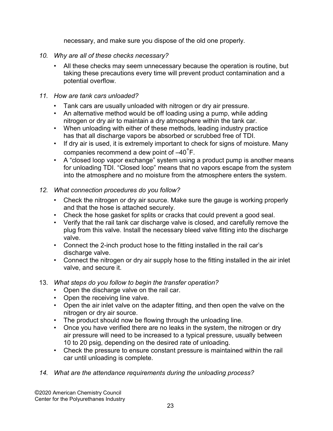necessary, and make sure you dispose of the old one properly.

- 10. Why are all of these checks necessary?
	- All these checks may seem unnecessary because the operation is routine, but taking these precautions every time will prevent product contamination and a potential overflow.
- 11. How are tank cars unloaded?
	- Tank cars are usually unloaded with nitrogen or dry air pressure.
	- An alternative method would be off loading using a pump, while adding nitrogen or dry air to maintain a dry atmosphere within the tank car.
	- When unloading with either of these methods, leading industry practice has that all discharge vapors be absorbed or scrubbed free of TDI.
	- If dry air is used, it is extremely important to check for signs of moisture. Many companies recommend a dew point of –40°F.
	- A "closed loop vapor exchange" system using a product pump is another means for unloading TDI. "Closed loop" means that no vapors escape from the system into the atmosphere and no moisture from the atmosphere enters the system.
- 12. What connection procedures do you follow?
	- Check the nitrogen or dry air source. Make sure the gauge is working properly and that the hose is attached securely.
	- Check the hose gasket for splits or cracks that could prevent a good seal.
	- Verify that the rail tank car discharge valve is closed, and carefully remove the plug from this valve. Install the necessary bleed valve fitting into the discharge valve.
	- Connect the 2-inch product hose to the fitting installed in the rail car's discharge valve.
	- Connect the nitrogen or dry air supply hose to the fitting installed in the air inlet valve, and secure it.
- 13. What steps do you follow to begin the transfer operation?
	- Open the discharge valve on the rail car.
	- Open the receiving line valve.
	- Open the air inlet valve on the adapter fitting, and then open the valve on the nitrogen or dry air source.
	- The product should now be flowing through the unloading line.
	- Once you have verified there are no leaks in the system, the nitrogen or dry air pressure will need to be increased to a typical pressure, usually between 10 to 20 psig, depending on the desired rate of unloading.
	- Check the pressure to ensure constant pressure is maintained within the rail car until unloading is complete.

# 14. What are the attendance requirements during the unloading process?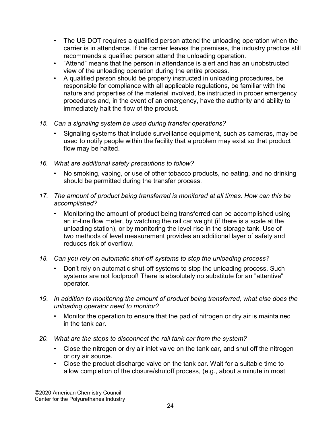- The US DOT requires a qualified person attend the unloading operation when the carrier is in attendance. If the carrier leaves the premises, the industry practice still recommends a qualified person attend the unloading operation.
- "Attend" means that the person in attendance is alert and has an unobstructed view of the unloading operation during the entire process.
- A qualified person should be properly instructed in unloading procedures, be responsible for compliance with all applicable regulations, be familiar with the nature and properties of the material involved, be instructed in proper emergency procedures and, in the event of an emergency, have the authority and ability to immediately halt the flow of the product.
- 15. Can a signaling system be used during transfer operations?
	- Signaling systems that include surveillance equipment, such as cameras, may be used to notify people within the facility that a problem may exist so that product flow may be halted.
- 16. What are additional safety precautions to follow?
	- No smoking, vaping, or use of other tobacco products, no eating, and no drinking should be permitted during the transfer process.
- 17. The amount of product being transferred is monitored at all times. How can this be accomplished?
	- Monitoring the amount of product being transferred can be accomplished using an in-line flow meter, by watching the rail car weight (if there is a scale at the unloading station), or by monitoring the level rise in the storage tank. Use of two methods of level measurement provides an additional layer of safety and reduces risk of overflow.
- 18. Can you rely on automatic shut-off systems to stop the unloading process?
	- Don't rely on automatic shut-off systems to stop the unloading process. Such systems are not foolproof! There is absolutely no substitute for an "attentive" operator.
- 19. In addition to monitoring the amount of product being transferred, what else does the unloading operator need to monitor?
	- Monitor the operation to ensure that the pad of nitrogen or dry air is maintained in the tank car.
- 20. What are the steps to disconnect the rail tank car from the system?
	- Close the nitrogen or dry air inlet valve on the tank car, and shut off the nitrogen or dry air source.
	- Close the product discharge valve on the tank car. Wait for a suitable time to allow completion of the closure/shutoff process, (e.g., about a minute in most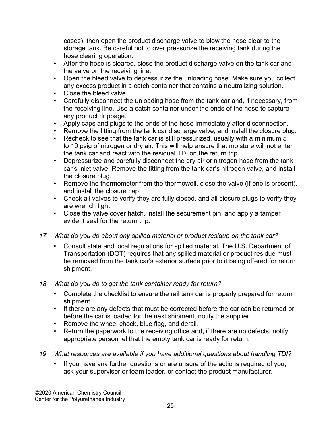cases), then open the product discharge valve to blow the hose clear to the storage tank. Be careful not to over pressurize the receiving tank during the hose clearing operation.

- After the hose is cleared, close the product discharge valve on the tank car and the valve on the receiving line.
- Open the bleed valve to depressurize the unloading hose. Make sure you collect any excess product in a catch container that contains a neutralizing solution.
- Close the bleed valve.
- Carefully disconnect the unloading hose from the tank car and, if necessary, from the receiving line. Use a catch container under the ends of the hose to capture any product drippage.
- Apply caps and plugs to the ends of the hose immediately after disconnection.
- Remove the fitting from the tank car discharge valve, and install the closure plug.
- Recheck to see that the tank car is still pressurized, usually with a minimum 5 to 10 psig of nitrogen or dry air. This will help ensure that moisture will not enter the tank car and react with the residual TDI on the return trip.
- Depressurize and carefully disconnect the dry air or nitrogen hose from the tank car's inlet valve. Remove the fitting from the tank car's nitrogen valve, and install the closure plug.
- Remove the thermometer from the thermowell, close the valve (if one is present), and install the closure cap.
- Check all valves to verify they are fully closed, and all closure plugs to verify they are wrench tight.
- Close the valve cover hatch, install the securement pin, and apply a tamper evident seal for the return trip.
- 17. What do you do about any spilled material or product residue on the tank car?
	- Consult state and local regulations for spilled material. The U.S. Department of Transportation (DOT) requires that any spilled material or product residue must be removed from the tank car's exterior surface prior to it being offered for return shipment.
- 18. What do you do to get the tank container ready for return?
	- Complete the checklist to ensure the rail tank car is properly prepared for return shipment.
	- If there are any defects that must be corrected before the car can be returned or before the car is loaded for the next shipment, notify the supplier.
	- Remove the wheel chock, blue flag, and derail.
	- Return the paperwork to the receiving office and, if there are no defects, notify appropriate personnel that the empty tank car is ready for return.
- 19. What resources are available if you have additional questions about handling TDI?
	- If you have any further questions or are unsure of the actions required of you, ask your supervisor or team leader, or contact the product manufacturer.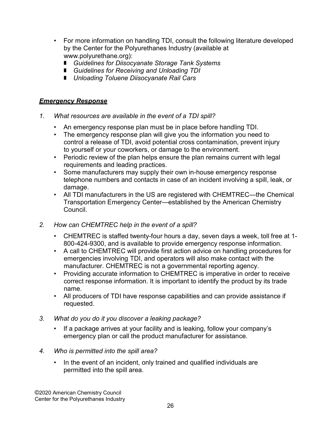- For more information on handling TDI, consult the following literature developed by the Center for the Polyurethanes Industry (available at www.polyurethane.org):
	- Guidelines for Diisocyanate Storage Tank Systems
	- Guidelines for Receiving and Unloading TDI
	- **I** Unloading Toluene Diisocyanate Rail Cars

#### Emergency Response

- 1. What resources are available in the event of a TDI spill?
	- An emergency response plan must be in place before handling TDI.
	- The emergency response plan will give you the information you need to control a release of TDI, avoid potential cross contamination, prevent injury to yourself or your coworkers, or damage to the environment.
	- Periodic review of the plan helps ensure the plan remains current with legal requirements and leading practices.
	- Some manufacturers may supply their own in-house emergency response telephone numbers and contacts in case of an incident involving a spill, leak, or damage.
	- All TDI manufacturers in the US are registered with CHEMTREC—the Chemical Transportation Emergency Center—established by the American Chemistry Council.
- 2. How can CHEMTREC help in the event of a spill?
	- CHEMTREC is staffed twenty-four hours a day, seven days a week, toll free at 1- 800-424-9300, and is available to provide emergency response information.
	- A call to CHEMTREC will provide first action advice on handling procedures for emergencies involving TDI, and operators will also make contact with the manufacturer. CHEMTREC is not a governmental reporting agency.
	- Providing accurate information to CHEMTREC is imperative in order to receive correct response information. It is important to identify the product by its trade name.
	- All producers of TDI have response capabilities and can provide assistance if requested.
- 3. What do you do it you discover a leaking package?
	- If a package arrives at your facility and is leaking, follow your company's emergency plan or call the product manufacturer for assistance.
- 4. Who is permitted into the spill area?
	- In the event of an incident, only trained and qualified individuals are permitted into the spill area.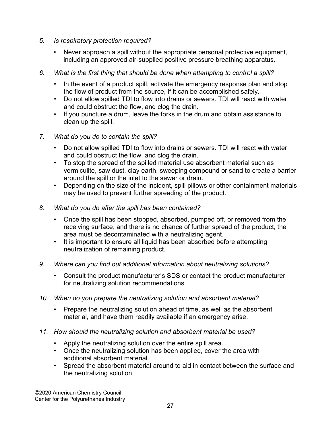- 5. Is respiratory protection required?
	- Never approach a spill without the appropriate personal protective equipment, including an approved air-supplied positive pressure breathing apparatus.
- 6. What is the first thing that should be done when attempting to control a spill?
	- In the event of a product spill, activate the emergency response plan and stop the flow of product from the source, if it can be accomplished safely.
	- Do not allow spilled TDI to flow into drains or sewers. TDI will react with water and could obstruct the flow, and clog the drain.
	- If you puncture a drum, leave the forks in the drum and obtain assistance to clean up the spill.
- 7. What do you do to contain the spill?
	- Do not allow spilled TDI to flow into drains or sewers. TDI will react with water and could obstruct the flow, and clog the drain.
	- To stop the spread of the spilled material use absorbent material such as vermiculite, saw dust, clay earth, sweeping compound or sand to create a barrier around the spill or the inlet to the sewer or drain.
	- Depending on the size of the incident, spill pillows or other containment materials may be used to prevent further spreading of the product.
- 8. What do you do after the spill has been contained?
	- Once the spill has been stopped, absorbed, pumped off, or removed from the receiving surface, and there is no chance of further spread of the product, the area must be decontaminated with a neutralizing agent.
	- It is important to ensure all liquid has been absorbed before attempting neutralization of remaining product.
- 9. Where can you find out additional information about neutralizing solutions?
	- Consult the product manufacturer's SDS or contact the product manufacturer for neutralizing solution recommendations.
- 10. When do you prepare the neutralizing solution and absorbent material?
	- Prepare the neutralizing solution ahead of time, as well as the absorbent material, and have them readily available if an emergency arise.
- 11. How should the neutralizing solution and absorbent material be used?
	- Apply the neutralizing solution over the entire spill area.
	- Once the neutralizing solution has been applied, cover the area with additional absorbent material.
	- Spread the absorbent material around to aid in contact between the surface and the neutralizing solution.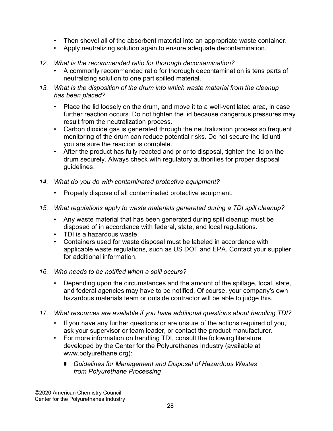- Then shovel all of the absorbent material into an appropriate waste container.
- Apply neutralizing solution again to ensure adequate decontamination.
- 12. What is the recommended ratio for thorough decontamination?
	- A commonly recommended ratio for thorough decontamination is tens parts of neutralizing solution to one part spilled material.
- 13. What is the disposition of the drum into which waste material from the cleanup has been placed?
	- Place the lid loosely on the drum, and move it to a well-ventilated area, in case further reaction occurs. Do not tighten the lid because dangerous pressures may result from the neutralization process.
	- Carbon dioxide gas is generated through the neutralization process so frequent monitoring of the drum can reduce potential risks. Do not secure the lid until you are sure the reaction is complete.
	- After the product has fully reacted and prior to disposal, tighten the lid on the drum securely. Always check with regulatory authorities for proper disposal guidelines.
- 14. What do you do with contaminated protective equipment?
	- Properly dispose of all contaminated protective equipment.
- 15. What regulations apply to waste materials generated during a TDI spill cleanup?
	- Any waste material that has been generated during spill cleanup must be disposed of in accordance with federal, state, and local regulations.
	- TDI is a hazardous waste.
	- Containers used for waste disposal must be labeled in accordance with applicable waste regulations, such as US DOT and EPA. Contact your supplier for additional information.
- 16. Who needs to be notified when a spill occurs?
	- Depending upon the circumstances and the amount of the spillage, local, state, and federal agencies may have to be notified. Of course, your company's own hazardous materials team or outside contractor will be able to judge this.
- 17. What resources are available if you have additional questions about handling TDI?
	- If you have any further questions or are unsure of the actions required of you, ask your supervisor or team leader, or contact the product manufacturer.
	- For more information on handling TDI, consult the following literature developed by the Center for the Polyurethanes Industry (available at www.polyurethane.org):
		- Guidelines for Management and Disposal of Hazardous Wastes from Polyurethane Processing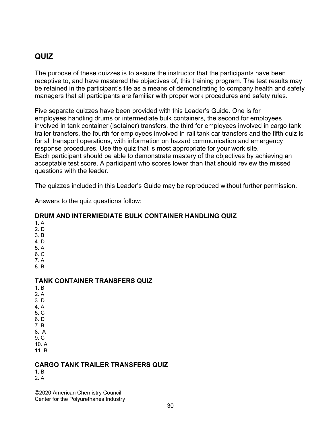# QUIZ

The purpose of these quizzes is to assure the instructor that the participants have been receptive to, and have mastered the objectives of, this training program. The test results may be retained in the participant's file as a means of demonstrating to company health and safety managers that all participants are familiar with proper work procedures and safety rules.

Five separate quizzes have been provided with this Leader's Guide. One is for employees handling drums or intermediate bulk containers, the second for employees involved in tank container (isotainer) transfers, the third for employees involved in cargo tank trailer transfers, the fourth for employees involved in rail tank car transfers and the fifth quiz is for all transport operations, with information on hazard communication and emergency response procedures. Use the quiz that is most appropriate for your work site. Each participant should be able to demonstrate mastery of the objectives by achieving an acceptable test score. A participant who scores lower than that should review the missed questions with the leader.

The quizzes included in this Leader's Guide may be reproduced without further permission.

Answers to the quiz questions follow:

## DRUM AND INTERMIEDIATE BULK CONTAINER HANDLING QUIZ

1. A 2. D 3. B 4. D 5. A 6. C 7. A 8. B TANK CONTAINER TRANSFERS QUIZ 1. B 2. A 3. D 4. A 5. C 6. D 7. B 8. A 9. C 10. A 11. B

### CARGO TANK TRAILER TRANSFERS QUIZ

1. B 2. A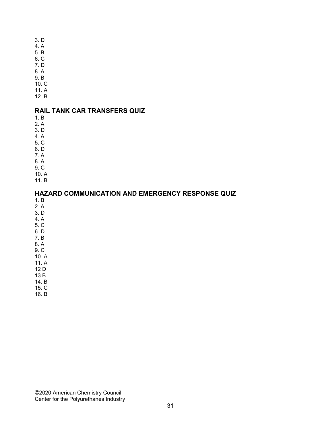- 3. D
- 4. A
- 5. B 6. C
- 7. D
- 8. A
- 9. B
- 10. C
- 11. A
- 12. B

## RAIL TANK CAR TRANSFERS QUIZ

- 1. B
- 2. A
- 3. D 4. A
- 5. C
- 6. D
- 7. A
- 8. A
- 9. C
- 10. A
- 11. B

#### HAZARD COMMUNICATION AND EMERGENCY RESPONSE QUIZ

- 1. B
- 2. A
- 3. D 4. A
- 5. C
- 6. D
- 7. B
- 8. A
- 9. C 10. A
- 11. A
- 12 D
- 13 B
- 14. B
- 15. C 16. B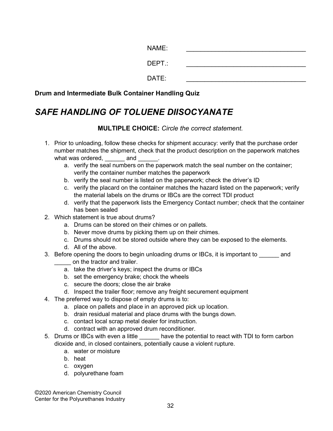| NAME:  |  |
|--------|--|
| DEPT.: |  |
| DATE:  |  |

Drum and Intermediate Bulk Container Handling Quiz

# SAFE HANDLING OF TOLUENE DIISOCYANATE

#### MULTIPLE CHOICE: Circle the correct statement.

- 1. Prior to unloading, follow these checks for shipment accuracy: verify that the purchase order number matches the shipment, check that the product description on the paperwork matches what was ordered, and
	- a. verify the seal numbers on the paperwork match the seal number on the container; verify the container number matches the paperwork
	- b. verify the seal number is listed on the paperwork; check the driver's ID
	- c. verify the placard on the container matches the hazard listed on the paperwork; verify the material labels on the drums or IBCs are the correct TDI product
	- d. verify that the paperwork lists the Emergency Contact number; check that the container has been sealed
- 2. Which statement is true about drums?
	- a. Drums can be stored on their chimes or on pallets.
	- b. Never move drums by picking them up on their chimes.
	- c. Drums should not be stored outside where they can be exposed to the elements.
	- d. All of the above.
- 3. Before opening the doors to begin unloading drums or IBCs, it is important to and on the tractor and trailer.
	- a. take the driver's keys; inspect the drums or IBCs
	- b. set the emergency brake; chock the wheels
	- c. secure the doors; close the air brake
	- d. Inspect the trailer floor; remove any freight securement equipment
- 4. The preferred way to dispose of empty drums is to:
	- a. place on pallets and place in an approved pick up location.
	- b. drain residual material and place drums with the bungs down.
	- c. contact local scrap metal dealer for instruction.
	- d. contract with an approved drum reconditioner.
- 5. Drums or IBCs with even a little \_\_\_\_\_\_ have the potential to react with TDI to form carbon dioxide and, in closed containers, potentially cause a violent rupture.
	- a. water or moisture
	- b. heat
	- c. oxygen
	- d. polyurethane foam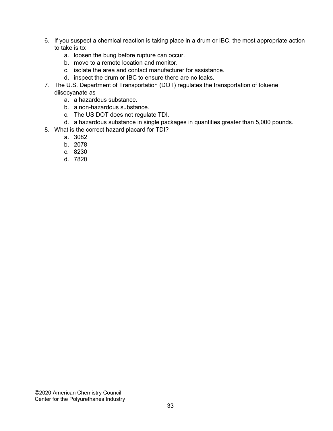- 6. If you suspect a chemical reaction is taking place in a drum or IBC, the most appropriate action to take is to:
	- a. loosen the bung before rupture can occur.
	- b. move to a remote location and monitor.
	- c. isolate the area and contact manufacturer for assistance.
	- d. inspect the drum or IBC to ensure there are no leaks.
- 7. The U.S. Department of Transportation (DOT) regulates the transportation of toluene diisocyanate as
	- a. a hazardous substance.
	- b. a non-hazardous substance.
	- c. The US DOT does not regulate TDI.
	- d. a hazardous substance in single packages in quantities greater than 5,000 pounds.
- 8. What is the correct hazard placard for TDI?
	- a. 3082
	- b. 2078
	- c. 8230
	- d. 7820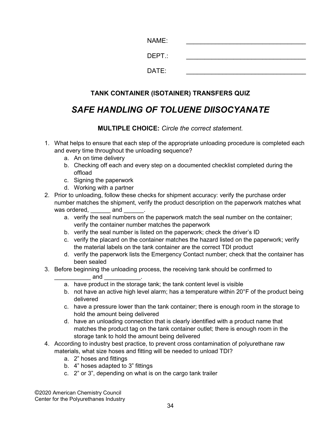| NAME:  |  |
|--------|--|
| DEPT.: |  |
| DATE:  |  |

# TANK CONTAINER (ISOTAINER) TRANSFERS QUIZ

# SAFE HANDLING OF TOLUENE DIISOCYANATE

#### MULTIPLE CHOICE: Circle the correct statement.

- 1. What helps to ensure that each step of the appropriate unloading procedure is completed each and every time throughout the unloading sequence?
	- a. An on time delivery
	- b. Checking off each and every step on a documented checklist completed during the offload
	- c. Signing the paperwork
	- d. Working with a partner
- 2. Prior to unloading, follow these checks for shipment accuracy: verify the purchase order number matches the shipment, verify the product description on the paperwork matches what was ordered, <u>\_\_\_\_\_\_</u> and
	- a. verify the seal numbers on the paperwork match the seal number on the container; verify the container number matches the paperwork
	- b. verify the seal number is listed on the paperwork; check the driver's ID
	- c. verify the placard on the container matches the hazard listed on the paperwork; verify the material labels on the tank container are the correct TDI product
	- d. verify the paperwork lists the Emergency Contact number; check that the container has been sealed
- 3. Before beginning the unloading process, the receiving tank should be confirmed to
	- ${\sf and}$
	- a. have product in the storage tank; the tank content level is visible
	- b. not have an active high level alarm; has a temperature within 20°F of the product being delivered
	- c. have a pressure lower than the tank container; there is enough room in the storage to hold the amount being delivered
	- d. have an unloading connection that is clearly identified with a product name that matches the product tag on the tank container outlet; there is enough room in the storage tank to hold the amount being delivered
- 4. According to industry best practice, to prevent cross contamination of polyurethane raw materials, what size hoses and fitting will be needed to unload TDI?
	- a. 2" hoses and fittings
	- b. 4" hoses adapted to 3" fittings
	- c. 2" or 3", depending on what is on the cargo tank trailer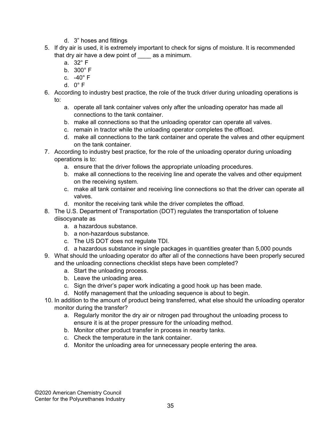- d. 3" hoses and fittings
- 5. If dry air is used, it is extremely important to check for signs of moisture. It is recommended that dry air have a dew point of \_\_\_\_ as a minimum.
	- a. 32° F
	- b. 300° F
	- c. -40° F
	- d. 0° F
- 6. According to industry best practice, the role of the truck driver during unloading operations is to:
	- a. operate all tank container valves only after the unloading operator has made all connections to the tank container.
	- b. make all connections so that the unloading operator can operate all valves.
	- c. remain in tractor while the unloading operator completes the offload.
	- d. make all connections to the tank container and operate the valves and other equipment on the tank container.
- 7. According to industry best practice, for the role of the unloading operator during unloading operations is to:
	- a. ensure that the driver follows the appropriate unloading procedures.
	- b. make all connections to the receiving line and operate the valves and other equipment on the receiving system.
	- c. make all tank container and receiving line connections so that the driver can operate all valves.
	- d. monitor the receiving tank while the driver completes the offload.
- 8. The U.S. Department of Transportation (DOT) regulates the transportation of toluene diisocyanate as
	- a. a hazardous substance.
	- b. a non-hazardous substance.
	- c. The US DOT does not regulate TDI.
	- d. a hazardous substance in single packages in quantities greater than 5,000 pounds
- 9. What should the unloading operator do after all of the connections have been properly secured and the unloading connections checklist steps have been completed?
	- a. Start the unloading process.
	- b. Leave the unloading area.
	- c. Sign the driver's paper work indicating a good hook up has been made.
	- d. Notify management that the unloading sequence is about to begin.
- 10. In addition to the amount of product being transferred, what else should the unloading operator monitor during the transfer?
	- a. Regularly monitor the dry air or nitrogen pad throughout the unloading process to ensure it is at the proper pressure for the unloading method.
	- b. Monitor other product transfer in process in nearby tanks.
	- c. Check the temperature in the tank container.
	- d. Monitor the unloading area for unnecessary people entering the area.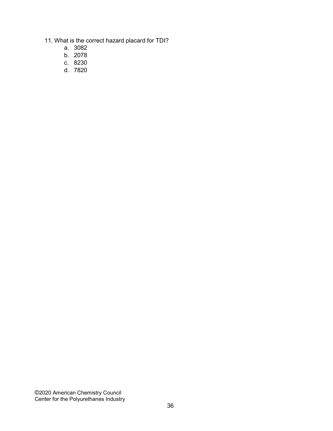- 11. What is the correct hazard placard for TDI?
	- a. 3082
	- b. 2078
	- c. 8230
	- d. 7820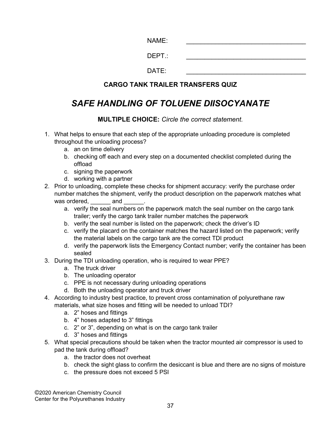| NAME:  |  |
|--------|--|
| DEPT.: |  |
| DATE:  |  |

## CARGO TANK TRAILER TRANSFERS QUIZ

# SAFE HANDLING OF TOLUENE DIISOCYANATE

MULTIPLE CHOICE: Circle the correct statement.

- 1. What helps to ensure that each step of the appropriate unloading procedure is completed throughout the unloading process?
	- a. an on time delivery
	- b. checking off each and every step on a documented checklist completed during the offload
	- c. signing the paperwork
	- d. working with a partner
- 2. Prior to unloading, complete these checks for shipment accuracy: verify the purchase order number matches the shipment, verify the product description on the paperwork matches what was ordered, example and  $\overline{a}$ 
	- a. verify the seal numbers on the paperwork match the seal number on the cargo tank trailer; verify the cargo tank trailer number matches the paperwork
	- b. verify the seal number is listed on the paperwork; check the driver's ID
	- c. verify the placard on the container matches the hazard listed on the paperwork; verify the material labels on the cargo tank are the correct TDI product
	- d. verify the paperwork lists the Emergency Contact number; verify the container has been sealed
- 3. During the TDI unloading operation, who is required to wear PPE?
	- a. The truck driver
	- b. The unloading operator
	- c. PPE is not necessary during unloading operations
	- d. Both the unloading operator and truck driver
- 4. According to industry best practice, to prevent cross contamination of polyurethane raw materials, what size hoses and fitting will be needed to unload TDI?
	- a. 2" hoses and fittings
	- b. 4" hoses adapted to 3" fittings
	- c. 2" or 3", depending on what is on the cargo tank trailer
	- d. 3" hoses and fittings
- 5. What special precautions should be taken when the tractor mounted air compressor is used to pad the tank during offload?
	- a. the tractor does not overheat
	- b. check the sight glass to confirm the desiccant is blue and there are no signs of moisture
	- c. the pressure does not exceed 5 PSI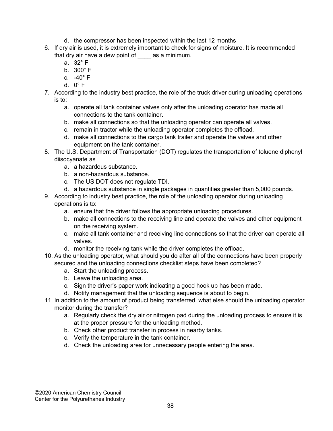- d. the compressor has been inspected within the last 12 months
- 6. If dry air is used, it is extremely important to check for signs of moisture. It is recommended that dry air have a dew point of \_\_\_\_ as a minimum.
	- a. 32° F
	- b. 300° F
	- c. -40° F
	- d. 0° F
- 7. According to the industry best practice, the role of the truck driver during unloading operations is to:
	- a. operate all tank container valves only after the unloading operator has made all connections to the tank container.
	- b. make all connections so that the unloading operator can operate all valves.
	- c. remain in tractor while the unloading operator completes the offload.
	- d. make all connections to the cargo tank trailer and operate the valves and other equipment on the tank container.
- 8. The U.S. Department of Transportation (DOT) regulates the transportation of toluene diphenyl diisocyanate as
	- a. a hazardous substance.
	- b. a non-hazardous substance.
	- c. The US DOT does not regulate TDI.
	- d. a hazardous substance in single packages in quantities greater than 5,000 pounds.
- 9. According to industry best practice, the role of the unloading operator during unloading operations is to:
	- a. ensure that the driver follows the appropriate unloading procedures.
	- b. make all connections to the receiving line and operate the valves and other equipment on the receiving system.
	- c. make all tank container and receiving line connections so that the driver can operate all valves.
	- d. monitor the receiving tank while the driver completes the offload.
- 10. As the unloading operator, what should you do after all of the connections have been properly secured and the unloading connections checklist steps have been completed?
	- a. Start the unloading process.
	- b. Leave the unloading area.
	- c. Sign the driver's paper work indicating a good hook up has been made.
	- d. Notify management that the unloading sequence is about to begin.
- 11. In addition to the amount of product being transferred, what else should the unloading operator monitor during the transfer?
	- a. Regularly check the dry air or nitrogen pad during the unloading process to ensure it is at the proper pressure for the unloading method.
	- b. Check other product transfer in process in nearby tanks.
	- c. Verify the temperature in the tank container.
	- d. Check the unloading area for unnecessary people entering the area.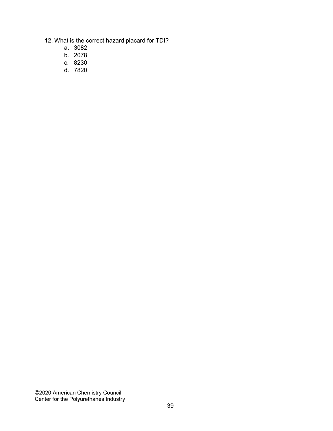- 12. What is the correct hazard placard for TDI?
	- a. 3082
	- b. 2078
	- c. 8230
	- d. 7820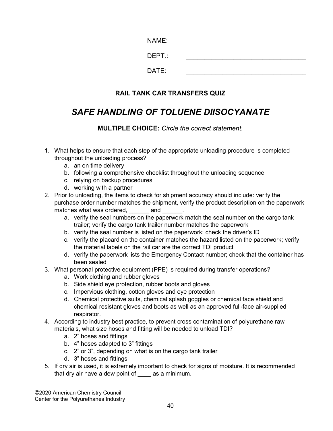| NAME:  |  |
|--------|--|
| DEPT.: |  |
| DATE:  |  |

# RAIL TANK CAR TRANSFERS QUIZ

# SAFE HANDLING OF TOLUENE DIISOCYANATE

MULTIPLE CHOICE: Circle the correct statement.

- 1. What helps to ensure that each step of the appropriate unloading procedure is completed throughout the unloading process?
	- a. an on time delivery
	- b. following a comprehensive checklist throughout the unloading sequence
	- c. relying on backup procedures
	- d. working with a partner
- 2. Prior to unloading, the items to check for shipment accuracy should include: verify the purchase order number matches the shipment, verify the product description on the paperwork matches what was ordered, and
	- a. verify the seal numbers on the paperwork match the seal number on the cargo tank trailer; verify the cargo tank trailer number matches the paperwork
	- b. verify the seal number is listed on the paperwork; check the driver's ID
	- c. verify the placard on the container matches the hazard listed on the paperwork; verify the material labels on the rail car are the correct TDI product
	- d. verify the paperwork lists the Emergency Contact number; check that the container has been sealed
- 3. What personal protective equipment (PPE) is required during transfer operations?
	- a. Work clothing and rubber gloves
	- b. Side shield eye protection, rubber boots and gloves
	- c. Impervious clothing, cotton gloves and eye protection
	- d. Chemical protective suits, chemical splash goggles or chemical face shield and chemical resistant gloves and boots as well as an approved full-face air-supplied respirator.
- 4. According to industry best practice, to prevent cross contamination of polyurethane raw materials, what size hoses and fitting will be needed to unload TDI?
	- a. 2" hoses and fittings
	- b. 4" hoses adapted to 3" fittings
	- c. 2" or 3", depending on what is on the cargo tank trailer
	- d. 3" hoses and fittings
- 5. If dry air is used, it is extremely important to check for signs of moisture. It is recommended that dry air have a dew point of as a minimum.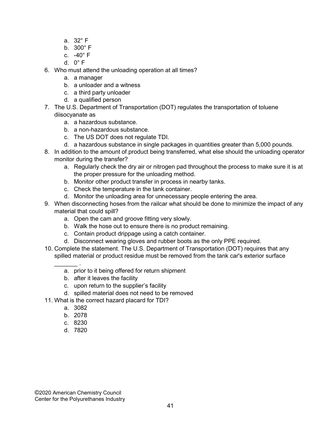- a. 32° F
- b. 300° F
- c. -40° F
- d.  $0^\circ$  F
- 6. Who must attend the unloading operation at all times?
	- a. a manager
	- b. a unloader and a witness
	- c. a third party unloader
	- d. a qualified person
- 7. The U.S. Department of Transportation (DOT) regulates the transportation of toluene diisocyanate as
	- a. a hazardous substance.
	- b. a non-hazardous substance.
	- c. The US DOT does not regulate TDI.
	- d. a hazardous substance in single packages in quantities greater than 5,000 pounds.
- 8. In addition to the amount of product being transferred, what else should the unloading operator monitor during the transfer?
	- a. Regularly check the dry air or nitrogen pad throughout the process to make sure it is at the proper pressure for the unloading method.
	- b. Monitor other product transfer in process in nearby tanks.
	- c. Check the temperature in the tank container.
	- d. Monitor the unloading area for unnecessary people entering the area.
- 9. When disconnecting hoses from the railcar what should be done to minimize the impact of any material that could spill?
	- a. Open the cam and groove fitting very slowly.
	- b. Walk the hose out to ensure there is no product remaining.
	- c. Contain product drippage using a catch container.
	- d. Disconnect wearing gloves and rubber boots as the only PPE required.
- 10. Complete the statement. The U.S. Department of Transportation (DOT) requires that any spilled material or product residue must be removed from the tank car's exterior surface
	- $\frac{1}{2}$ a. prior to it being offered for return shipment
		- b. after it leaves the facility
		- c. upon return to the supplier's facility
		- d. spilled material does not need to be removed
- 11. What is the correct hazard placard for TDI?
	- a. 3082
	- b. 2078
	- c. 8230
	- d. 7820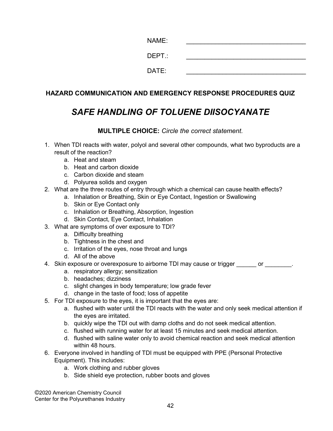| NAME:  |  |
|--------|--|
| DEPT.: |  |
| DATE:  |  |

## HAZARD COMMUNICATION AND EMERGENCY RESPONSE PROCEDURES QUIZ

# SAFE HANDLING OF TOLUENE DIISOCYANATE

### MULTIPLE CHOICE: Circle the correct statement.

- 1. When TDI reacts with water, polyol and several other compounds, what two byproducts are a result of the reaction?
	- a. Heat and steam
	- b. Heat and carbon dioxide
	- c. Carbon dioxide and steam
	- d. Polyurea solids and oxygen
- 2. What are the three routes of entry through which a chemical can cause health effects?
	- a. Inhalation or Breathing, Skin or Eye Contact, Ingestion or Swallowing
	- b. Skin or Eye Contact only
	- c. Inhalation or Breathing, Absorption, Ingestion
	- d. Skin Contact, Eye Contact, Inhalation
- 3. What are symptoms of over exposure to TDI?
	- a. Difficulty breathing
	- b. Tightness in the chest and
	- c. Irritation of the eyes, nose throat and lungs
	- d. All of the above
- 4. Skin exposure or overexposure to airborne TDI may cause or trigger example or  $\blacksquare$ 
	- a. respiratory allergy; sensitization
	- b. headaches; dizziness
	- c. slight changes in body temperature; low grade fever
	- d. change in the taste of food; loss of appetite
- 5. For TDI exposure to the eyes, it is important that the eyes are:
	- a. flushed with water until the TDI reacts with the water and only seek medical attention if the eyes are irritated.
	- b. quickly wipe the TDI out with damp cloths and do not seek medical attention.
	- c. flushed with running water for at least 15 minutes and seek medical attention.
	- d. flushed with saline water only to avoid chemical reaction and seek medical attention within 48 hours.
- 6. Everyone involved in handling of TDI must be equipped with PPE (Personal Protective Equipment). This includes:
	- a. Work clothing and rubber gloves
	- b. Side shield eye protection, rubber boots and gloves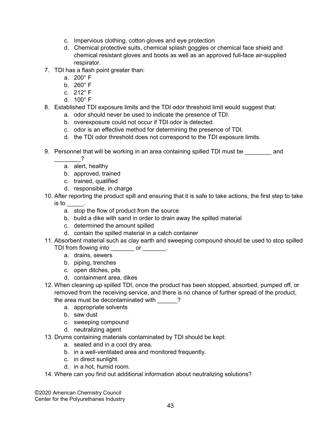- c. Impervious clothing, cotton gloves and eye protection
- d. Chemical protective suits, chemical splash goggles or chemical face shield and chemical resistant gloves and boots as well as an approved full-face air-supplied respirator.
- 7. TDI has a flash point greater than:
	- a. 200° F
	- b. 260° F
	- c. 212° F
	- d. 100° F
- 8. Established TDI exposure limits and the TDI odor threshold limit would suggest that:
	- a. odor should never be used to indicate the presence of TDI.
	- b. overexposure could not occur if TDI odor is detected.
	- c. odor is an effective method for determining the presence of TDI.
	- d. the TDI odor threshold does not correspond to the TDI exposure limits.
- 9. Personnel that will be working in an area containing spilled TDI must be entitled and
	- $\overline{\phantom{a}}$
	- a. alert, healthy
	- b. approved, trained
	- c. trained, qualified
	- d. responsible, in charge
- 10. After reporting the product spill and ensuring that it is safe to take actions, the first step to take  $\mathsf{is}\ \mathsf{to}\ \mathsf{.}$ 
	- a. stop the flow of product from the source
	- b. build a dike with sand in order to drain away the spilled material
	- c. determined the amount spilled
	- d. contain the spilled material in a catch container
- 11. Absorbent material such as clay earth and sweeping compound should be used to stop spilled TDI from flowing into or  $\qquad \qquad$ .
	- a. drains, sewers
	- b. piping, trenches
	- c. open ditches, pits
	- d. containment area, dikes
- 12. When cleaning up spilled TDI, once the product has been stopped, absorbed, pumped off, or removed from the receiving service, and there is no chance of further spread of the product, the area must be decontaminated with  $\frac{1}{2}$ ?
	- a. appropriate solvents
	- b. saw dust
	- c. sweeping compound
	- d. neutralizing agent
- 13. Drums containing materials contaminated by TDI should be kept:
	- a. sealed and in a cool dry area.
	- b. in a well-ventilated area and monitored frequently.
	- c. in direct sunlight.
	- d. in a hot, humid room.
- 14. Where can you find out additional information about neutralizing solutions?